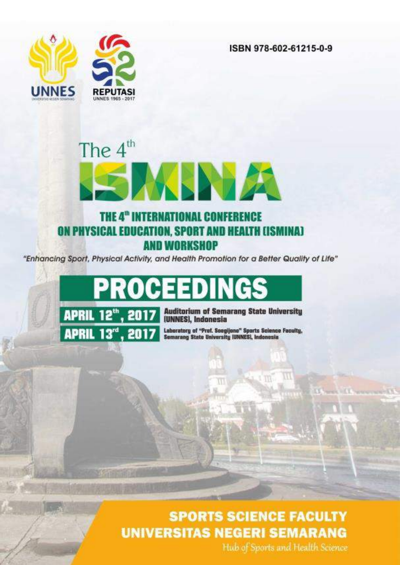ISBN 978-602-61215-0-9



# The  $4<sup>th</sup>$ EIKLINDZI THE 4<sup>th</sup> INTERNATIONAL CONFERENCE

# ON PHYSICAL EDUCATION, SPORT AND HEALTH (ISMINA) **AND WORKSHOP**

"Enhancing Sport, Physical Activity, and Health Promotion for a Better Quality of Life"

PROCEEDIN



**Auditorium of Semarang State University** (UNNES), Indonesia

Laboratory of "Prof. Soegijono" Sports Science Faculty,<br>Semarang State University (UNNES), Indonesia

m.

# **SPORTS SCIENCE FACULTY UNIVERSITAS NEGERI SEMARANG**

Hub of Sports and Health Science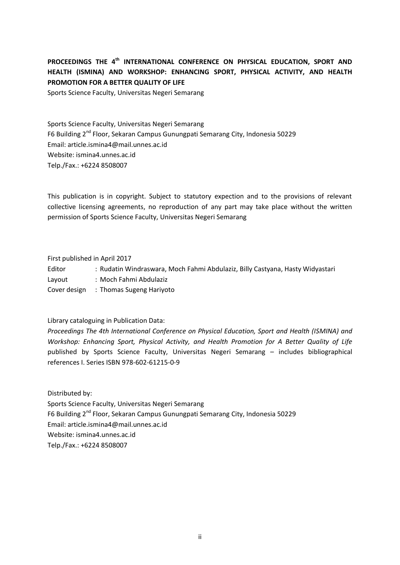# **PROCEEDINGS THE 4th INTERNATIONAL CONFERENCE ON PHYSICAL EDUCATION, SPORT AND HEALTH (ISMINA) AND WORKSHOP: ENHANCING SPORT, PHYSICAL ACTIVITY, AND HEALTH PROMOTION FOR A BETTER QUALITY OF LIFE**

Sports Science Faculty, Universitas Negeri Semarang

Sports Science Faculty, Universitas Negeri Semarang F6 Building 2nd Floor, Sekaran Campus Gunungpati Semarang City, Indonesia 50229 Email: article.ismina4@mail.unnes.ac.id Website: ismina4.unnes.ac.id Telp./Fax.: +6224 8508007

This publication is in copyright. Subject to statutory expection and to the provisions of relevant collective licensing agreements, no reproduction of any part may take place without the written permission of Sports Science Faculty, Universitas Negeri Semarang

First published in April 2017

Editor : Rudatin Windraswara, Moch Fahmi Abdulaziz, Billy Castyana, Hasty Widyastari

Layout : Moch Fahmi Abdulaziz

Cover design : Thomas Sugeng Hariyoto

Library cataloguing in Publication Data:

*Proceedings The 4th International Conference on Physical Education, Sport and Health (ISMINA) and Workshop: Enhancing Sport, Physical Activity, and Health Promotion for A Better Quality of Life* published by Sports Science Faculty, Universitas Negeri Semarang – includes bibliographical references I. Series ISBN 978-602-61215-0-9

Distributed by: Sports Science Faculty, Universitas Negeri Semarang F6 Building 2<sup>nd</sup> Floor, Sekaran Campus Gunungpati Semarang City, Indonesia 50229 Email: article.ismina4@mail.unnes.ac.id Website: ismina4.unnes.ac.id Telp./Fax.: +6224 8508007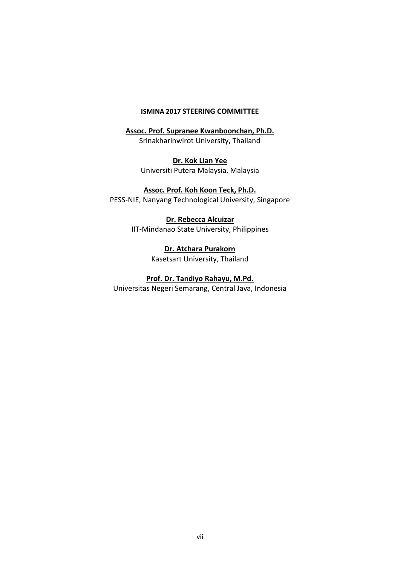## **ISMINA 2017 STEERING COMMITTEE**

**Assoc. Prof. Supranee Kwanboonchan, Ph.D.** Srinakharinwirot University, Thailand

> **Dr. Kok Lian Yee** Universiti Putera Malaysia, Malaysia

**Assoc. Prof. Koh Koon Teck, Ph.D.** PESS-NIE, Nanyang Technological University, Singapore

> **Dr. Rebecca Alcuizar** IIT-Mindanao State University, Philippines

> > **Dr. Atchara Purakorn** Kasetsart University, Thailand

**Prof. Dr. Tandiyo Rahayu, M.Pd.** Universitas Negeri Semarang, Central Java, Indonesia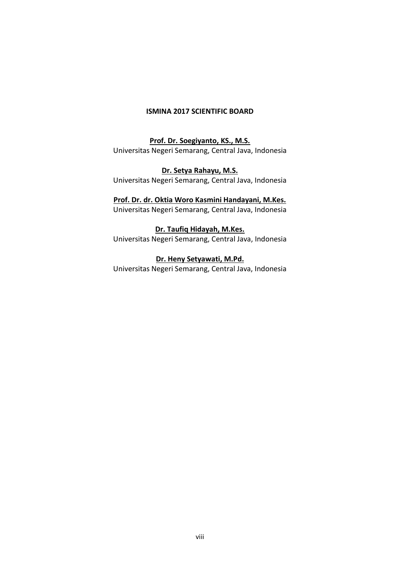# **ISMINA 2017 SCIENTIFIC BOARD**

**Prof. Dr. Soegiyanto, KS., M.S.** Universitas Negeri Semarang, Central Java, Indonesia

**Dr. Setya Rahayu, M.S.** Universitas Negeri Semarang, Central Java, Indonesia

# **Prof. Dr. dr. Oktia Woro Kasmini Handayani, M.Kes.**

Universitas Negeri Semarang, Central Java, Indonesia

# **Dr. Taufiq Hidayah, M.Kes.**

Universitas Negeri Semarang, Central Java, Indonesia

# **Dr. Heny Setyawati, M.Pd.**

Universitas Negeri Semarang, Central Java, Indonesia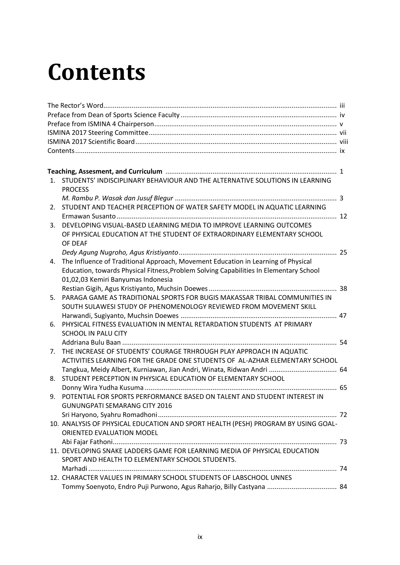# **Contents**

| STUDENTS' INDISCIPLINARY BEHAVIOUR AND THE ALTERNATIVE SOLUTIONS IN LEARNING<br>$1_{-}$<br><b>PROCESS</b><br>STUDENT AND TEACHER PERCEPTION OF WATER SAFETY MODEL IN AQUATIC LEARNING<br>2.<br>DEVELOPING VISUAL-BASED LEARNING MEDIA TO IMPROVE LEARNING OUTCOMES<br>3.<br>OF PHYSICAL EDUCATION AT THE STUDENT OF EXTRAORDINARY ELEMENTARY SCHOOL<br>OF DEAF<br>The Influence of Traditional Approach, Movement Education in Learning of Physical<br>Education, towards Physical Fitness, Problem Solving Capabilities In Elementary School<br>01,02,03 Kemiri Banyumas Indonesia<br>PARAGA GAME AS TRADITIONAL SPORTS FOR BUGIS MAKASSAR TRIBAL COMMUNITIES IN<br>SOUTH SULAWESI STUDY OF PHENOMENOLOGY REVIEWED FROM MOVEMENT SKILL<br>PHYSICAL FITNESS EVALUATION IN MENTAL RETARDATION STUDENTS AT PRIMARY<br>SCHOOL IN PALU CITY<br>THE INCREASE OF STUDENTS' COURAGE TRHROUGH PLAY APPROACH IN AQUATIC<br>ACTIVITIES LEARNING FOR THE GRADE ONE STUDENTS OF AL-AZHAR ELEMENTARY SCHOOL<br>Tangkua, Meidy Albert, Kurniawan, Jian Andri, Winata, Ridwan Andri  64<br>STUDENT PERCEPTION IN PHYSICAL EDUCATION OF ELEMENTARY SCHOOL<br>POTENTIAL FOR SPORTS PERFORMANCE BASED ON TALENT AND STUDENT INTEREST IN<br>9.<br><b>GUNUNGPATI SEMARANG CITY 2016</b><br>10. ANALYSIS OF PHYSICAL EDUCATION AND SPORT HEALTH (PESH) PROGRAM BY USING GOAL-<br>ORIENTED EVALUATION MODEL<br>11. DEVELOPING SNAKE LADDERS GAME FOR LEARNING MEDIA OF PHYSICAL EDUCATION<br>SPORT AND HEALTH TO ELEMENTARY SCHOOL STUDENTS.<br>12. CHARACTER VALUES IN PRIMARY SCHOOL STUDENTS OF LABSCHOOL UNNES |    |  |
|----------------------------------------------------------------------------------------------------------------------------------------------------------------------------------------------------------------------------------------------------------------------------------------------------------------------------------------------------------------------------------------------------------------------------------------------------------------------------------------------------------------------------------------------------------------------------------------------------------------------------------------------------------------------------------------------------------------------------------------------------------------------------------------------------------------------------------------------------------------------------------------------------------------------------------------------------------------------------------------------------------------------------------------------------------------------------------------------------------------------------------------------------------------------------------------------------------------------------------------------------------------------------------------------------------------------------------------------------------------------------------------------------------------------------------------------------------------------------------------------------------------------------------------------------------------------------------------------|----|--|
|                                                                                                                                                                                                                                                                                                                                                                                                                                                                                                                                                                                                                                                                                                                                                                                                                                                                                                                                                                                                                                                                                                                                                                                                                                                                                                                                                                                                                                                                                                                                                                                              |    |  |
|                                                                                                                                                                                                                                                                                                                                                                                                                                                                                                                                                                                                                                                                                                                                                                                                                                                                                                                                                                                                                                                                                                                                                                                                                                                                                                                                                                                                                                                                                                                                                                                              |    |  |
|                                                                                                                                                                                                                                                                                                                                                                                                                                                                                                                                                                                                                                                                                                                                                                                                                                                                                                                                                                                                                                                                                                                                                                                                                                                                                                                                                                                                                                                                                                                                                                                              |    |  |
|                                                                                                                                                                                                                                                                                                                                                                                                                                                                                                                                                                                                                                                                                                                                                                                                                                                                                                                                                                                                                                                                                                                                                                                                                                                                                                                                                                                                                                                                                                                                                                                              |    |  |
|                                                                                                                                                                                                                                                                                                                                                                                                                                                                                                                                                                                                                                                                                                                                                                                                                                                                                                                                                                                                                                                                                                                                                                                                                                                                                                                                                                                                                                                                                                                                                                                              |    |  |
|                                                                                                                                                                                                                                                                                                                                                                                                                                                                                                                                                                                                                                                                                                                                                                                                                                                                                                                                                                                                                                                                                                                                                                                                                                                                                                                                                                                                                                                                                                                                                                                              |    |  |
|                                                                                                                                                                                                                                                                                                                                                                                                                                                                                                                                                                                                                                                                                                                                                                                                                                                                                                                                                                                                                                                                                                                                                                                                                                                                                                                                                                                                                                                                                                                                                                                              |    |  |
|                                                                                                                                                                                                                                                                                                                                                                                                                                                                                                                                                                                                                                                                                                                                                                                                                                                                                                                                                                                                                                                                                                                                                                                                                                                                                                                                                                                                                                                                                                                                                                                              |    |  |
|                                                                                                                                                                                                                                                                                                                                                                                                                                                                                                                                                                                                                                                                                                                                                                                                                                                                                                                                                                                                                                                                                                                                                                                                                                                                                                                                                                                                                                                                                                                                                                                              |    |  |
|                                                                                                                                                                                                                                                                                                                                                                                                                                                                                                                                                                                                                                                                                                                                                                                                                                                                                                                                                                                                                                                                                                                                                                                                                                                                                                                                                                                                                                                                                                                                                                                              |    |  |
|                                                                                                                                                                                                                                                                                                                                                                                                                                                                                                                                                                                                                                                                                                                                                                                                                                                                                                                                                                                                                                                                                                                                                                                                                                                                                                                                                                                                                                                                                                                                                                                              |    |  |
|                                                                                                                                                                                                                                                                                                                                                                                                                                                                                                                                                                                                                                                                                                                                                                                                                                                                                                                                                                                                                                                                                                                                                                                                                                                                                                                                                                                                                                                                                                                                                                                              |    |  |
|                                                                                                                                                                                                                                                                                                                                                                                                                                                                                                                                                                                                                                                                                                                                                                                                                                                                                                                                                                                                                                                                                                                                                                                                                                                                                                                                                                                                                                                                                                                                                                                              |    |  |
|                                                                                                                                                                                                                                                                                                                                                                                                                                                                                                                                                                                                                                                                                                                                                                                                                                                                                                                                                                                                                                                                                                                                                                                                                                                                                                                                                                                                                                                                                                                                                                                              |    |  |
|                                                                                                                                                                                                                                                                                                                                                                                                                                                                                                                                                                                                                                                                                                                                                                                                                                                                                                                                                                                                                                                                                                                                                                                                                                                                                                                                                                                                                                                                                                                                                                                              |    |  |
|                                                                                                                                                                                                                                                                                                                                                                                                                                                                                                                                                                                                                                                                                                                                                                                                                                                                                                                                                                                                                                                                                                                                                                                                                                                                                                                                                                                                                                                                                                                                                                                              | 4. |  |
|                                                                                                                                                                                                                                                                                                                                                                                                                                                                                                                                                                                                                                                                                                                                                                                                                                                                                                                                                                                                                                                                                                                                                                                                                                                                                                                                                                                                                                                                                                                                                                                              |    |  |
|                                                                                                                                                                                                                                                                                                                                                                                                                                                                                                                                                                                                                                                                                                                                                                                                                                                                                                                                                                                                                                                                                                                                                                                                                                                                                                                                                                                                                                                                                                                                                                                              |    |  |
|                                                                                                                                                                                                                                                                                                                                                                                                                                                                                                                                                                                                                                                                                                                                                                                                                                                                                                                                                                                                                                                                                                                                                                                                                                                                                                                                                                                                                                                                                                                                                                                              |    |  |
|                                                                                                                                                                                                                                                                                                                                                                                                                                                                                                                                                                                                                                                                                                                                                                                                                                                                                                                                                                                                                                                                                                                                                                                                                                                                                                                                                                                                                                                                                                                                                                                              | 5. |  |
|                                                                                                                                                                                                                                                                                                                                                                                                                                                                                                                                                                                                                                                                                                                                                                                                                                                                                                                                                                                                                                                                                                                                                                                                                                                                                                                                                                                                                                                                                                                                                                                              |    |  |
|                                                                                                                                                                                                                                                                                                                                                                                                                                                                                                                                                                                                                                                                                                                                                                                                                                                                                                                                                                                                                                                                                                                                                                                                                                                                                                                                                                                                                                                                                                                                                                                              |    |  |
|                                                                                                                                                                                                                                                                                                                                                                                                                                                                                                                                                                                                                                                                                                                                                                                                                                                                                                                                                                                                                                                                                                                                                                                                                                                                                                                                                                                                                                                                                                                                                                                              | 6. |  |
|                                                                                                                                                                                                                                                                                                                                                                                                                                                                                                                                                                                                                                                                                                                                                                                                                                                                                                                                                                                                                                                                                                                                                                                                                                                                                                                                                                                                                                                                                                                                                                                              |    |  |
|                                                                                                                                                                                                                                                                                                                                                                                                                                                                                                                                                                                                                                                                                                                                                                                                                                                                                                                                                                                                                                                                                                                                                                                                                                                                                                                                                                                                                                                                                                                                                                                              |    |  |
|                                                                                                                                                                                                                                                                                                                                                                                                                                                                                                                                                                                                                                                                                                                                                                                                                                                                                                                                                                                                                                                                                                                                                                                                                                                                                                                                                                                                                                                                                                                                                                                              | 7. |  |
|                                                                                                                                                                                                                                                                                                                                                                                                                                                                                                                                                                                                                                                                                                                                                                                                                                                                                                                                                                                                                                                                                                                                                                                                                                                                                                                                                                                                                                                                                                                                                                                              |    |  |
|                                                                                                                                                                                                                                                                                                                                                                                                                                                                                                                                                                                                                                                                                                                                                                                                                                                                                                                                                                                                                                                                                                                                                                                                                                                                                                                                                                                                                                                                                                                                                                                              |    |  |
|                                                                                                                                                                                                                                                                                                                                                                                                                                                                                                                                                                                                                                                                                                                                                                                                                                                                                                                                                                                                                                                                                                                                                                                                                                                                                                                                                                                                                                                                                                                                                                                              | 8. |  |
|                                                                                                                                                                                                                                                                                                                                                                                                                                                                                                                                                                                                                                                                                                                                                                                                                                                                                                                                                                                                                                                                                                                                                                                                                                                                                                                                                                                                                                                                                                                                                                                              |    |  |
|                                                                                                                                                                                                                                                                                                                                                                                                                                                                                                                                                                                                                                                                                                                                                                                                                                                                                                                                                                                                                                                                                                                                                                                                                                                                                                                                                                                                                                                                                                                                                                                              |    |  |
|                                                                                                                                                                                                                                                                                                                                                                                                                                                                                                                                                                                                                                                                                                                                                                                                                                                                                                                                                                                                                                                                                                                                                                                                                                                                                                                                                                                                                                                                                                                                                                                              |    |  |
|                                                                                                                                                                                                                                                                                                                                                                                                                                                                                                                                                                                                                                                                                                                                                                                                                                                                                                                                                                                                                                                                                                                                                                                                                                                                                                                                                                                                                                                                                                                                                                                              |    |  |
|                                                                                                                                                                                                                                                                                                                                                                                                                                                                                                                                                                                                                                                                                                                                                                                                                                                                                                                                                                                                                                                                                                                                                                                                                                                                                                                                                                                                                                                                                                                                                                                              |    |  |
|                                                                                                                                                                                                                                                                                                                                                                                                                                                                                                                                                                                                                                                                                                                                                                                                                                                                                                                                                                                                                                                                                                                                                                                                                                                                                                                                                                                                                                                                                                                                                                                              |    |  |
|                                                                                                                                                                                                                                                                                                                                                                                                                                                                                                                                                                                                                                                                                                                                                                                                                                                                                                                                                                                                                                                                                                                                                                                                                                                                                                                                                                                                                                                                                                                                                                                              |    |  |
|                                                                                                                                                                                                                                                                                                                                                                                                                                                                                                                                                                                                                                                                                                                                                                                                                                                                                                                                                                                                                                                                                                                                                                                                                                                                                                                                                                                                                                                                                                                                                                                              |    |  |
|                                                                                                                                                                                                                                                                                                                                                                                                                                                                                                                                                                                                                                                                                                                                                                                                                                                                                                                                                                                                                                                                                                                                                                                                                                                                                                                                                                                                                                                                                                                                                                                              |    |  |
|                                                                                                                                                                                                                                                                                                                                                                                                                                                                                                                                                                                                                                                                                                                                                                                                                                                                                                                                                                                                                                                                                                                                                                                                                                                                                                                                                                                                                                                                                                                                                                                              |    |  |
|                                                                                                                                                                                                                                                                                                                                                                                                                                                                                                                                                                                                                                                                                                                                                                                                                                                                                                                                                                                                                                                                                                                                                                                                                                                                                                                                                                                                                                                                                                                                                                                              |    |  |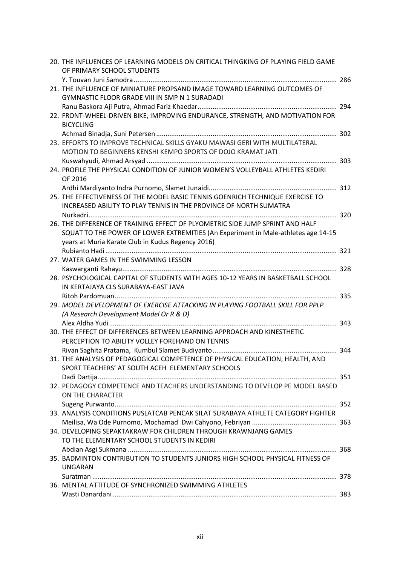|  | 20. THE INFLUENCES OF LEARNING MODELS ON CRITICAL THINGKING OF PLAYING FIELD GAME |  |
|--|-----------------------------------------------------------------------------------|--|
|  | OF PRIMARY SCHOOL STUDENTS                                                        |  |
|  |                                                                                   |  |
|  | 21. THE INFLUENCE OF MINIATURE PROPSAND IMAGE TOWARD LEARNING OUTCOMES OF         |  |
|  | <b>GYMNASTIC FLOOR GRADE VIII IN SMP N 1 SURADADI</b>                             |  |
|  |                                                                                   |  |
|  | 22. FRONT-WHEEL-DRIVEN BIKE, IMPROVING ENDURANCE, STRENGTH, AND MOTIVATION FOR    |  |
|  | <b>BICYCLING</b>                                                                  |  |
|  |                                                                                   |  |
|  | 23. EFFORTS TO IMPROVE TECHNICAL SKILLS GYAKU MAWASI GERI WITH MULTILATERAL       |  |
|  | MOTION TO BEGINNERS KENSHI KEMPO SPORTS OF DOJO KRAMAT JATI                       |  |
|  |                                                                                   |  |
|  | 24. PROFILE THE PHYSICAL CONDITION OF JUNIOR WOMEN'S VOLLEYBALL ATHLETES KEDIRI   |  |
|  | OF 2016                                                                           |  |
|  |                                                                                   |  |
|  | 25. THE EFFECTIVENESS OF THE MODEL BASIC TENNIS GOENRICH TECHNIQUE EXERCISE TO    |  |
|  | INCREASED ABILITY TO PLAY TENNIS IN THE PROVINCE OF NORTH SUMATRA                 |  |
|  |                                                                                   |  |
|  | 26. THE DIFFERENCE OF TRAINING EFFECT OF PLYOMETRIC SIDE JUMP SPRINT AND HALF     |  |
|  | SQUAT TO THE POWER OF LOWER EXTREMITIES (An Experiment in Male-athletes age 14-15 |  |
|  | years at Muria Karate Club in Kudus Regency 2016)                                 |  |
|  |                                                                                   |  |
|  | 27. WATER GAMES IN THE SWIMMING LESSON                                            |  |
|  |                                                                                   |  |
|  | 28. PSYCHOLOGICAL CAPITAL OF STUDENTS WITH AGES 10-12 YEARS IN BASKETBALL SCHOOL  |  |
|  | IN KERTAJAYA CLS SURABAYA-EAST JAVA                                               |  |
|  |                                                                                   |  |
|  | 29. MODEL DEVELOPMENT OF EXERCISE ATTACKING IN PLAYING FOOTBALL SKILL FOR PPLP    |  |
|  | (A Research Development Model Or R & D)                                           |  |
|  |                                                                                   |  |
|  | 30. THE EFFECT OF DIFFERENCES BETWEEN LEARNING APPROACH AND KINESTHETIC           |  |
|  | PERCEPTION TO ABILITY VOLLEY FOREHAND ON TENNIS                                   |  |
|  |                                                                                   |  |
|  | 31. THE ANALYSIS OF PEDAGOGICAL COMPETENCE OF PHYSICAL EDUCATION, HEALTH, AND     |  |
|  | SPORT TEACHERS' AT SOUTH ACEH ELEMENTARY SCHOOLS                                  |  |
|  |                                                                                   |  |
|  | 32. PEDAGOGY COMPETENCE AND TEACHERS UNDERSTANDING TO DEVELOP PE MODEL BASED      |  |
|  | ON THE CHARACTER                                                                  |  |
|  |                                                                                   |  |
|  | 33. ANALYSIS CONDITIONS PUSLATCAB PENCAK SILAT SURABAYA ATHLETE CATEGORY FIGHTER  |  |
|  |                                                                                   |  |
|  | 34. DEVELOPING SEPAKTAKRAW FOR CHILDREN THROUGH KRAWNJANG GAMES                   |  |
|  | TO THE ELEMENTARY SCHOOL STUDENTS IN KEDIRI                                       |  |
|  |                                                                                   |  |
|  | 35. BADMINTON CONTRIBUTION TO STUDENTS JUNIORS HIGH SCHOOL PHYSICAL FITNESS OF    |  |
|  | <b>UNGARAN</b>                                                                    |  |
|  |                                                                                   |  |
|  | 36. MENTAL ATTITUDE OF SYNCHRONIZED SWIMMING ATHLETES                             |  |
|  |                                                                                   |  |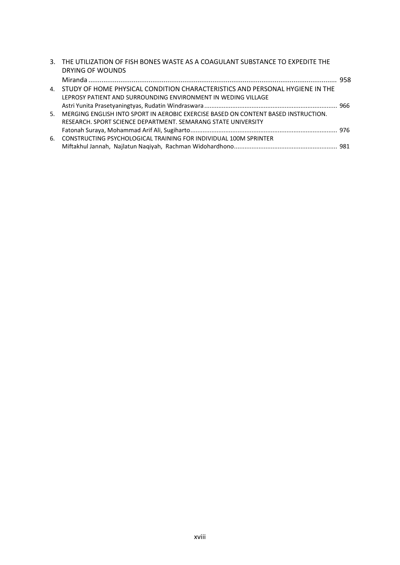|       | 3. THE UTILIZATION OF FISH BONES WASTE AS A COAGULANT SUBSTANCE TO EXPEDITE THE    |  |
|-------|------------------------------------------------------------------------------------|--|
|       | DRYING OF WOUNDS                                                                   |  |
|       |                                                                                    |  |
|       | 4. STUDY OF HOME PHYSICAL CONDITION CHARACTERISTICS AND PERSONAL HYGIENE IN THE    |  |
|       | LEPROSY PATIENT AND SURROUNDING ENVIRONMENT IN WEDING VILLAGE                      |  |
|       |                                                                                    |  |
| $5 -$ | MERGING ENGLISH INTO SPORT IN AEROBIC EXERCISE BASED ON CONTENT BASED INSTRUCTION. |  |
|       | RESEARCH, SPORT SCIENCE DEPARTMENT, SEMARANG STATE UNIVERSITY                      |  |
|       |                                                                                    |  |
| 6.    | CONSTRUCTING PSYCHOLOGICAL TRAINING FOR INDIVIDUAL 100M SPRINTER                   |  |
|       |                                                                                    |  |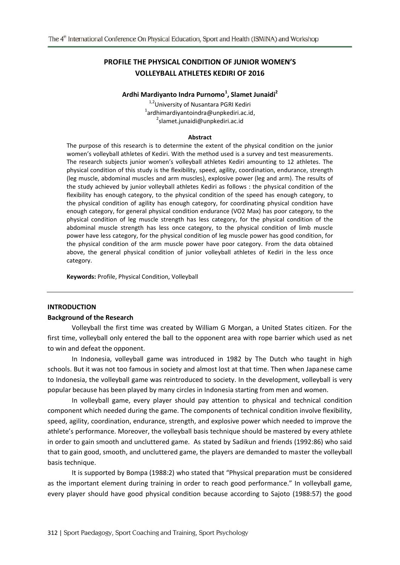# **PROFILE THE PHYSICAL CONDITION OF JUNIOR WOMEN'S VOLLEYBALL ATHLETES KEDIRI OF 2016**

# **Ardhi Mardiyanto Indra Purnomo<sup>1</sup> , Slamet Junaidi<sup>2</sup>**

<sup>1,2</sup>University of Nusantara PGRI Kediri 1 ardhimardiyantoindra@unpkediri.ac.id, 2 slamet.junaidi@unpkediri.ac.id

#### **Abstract**

The purpose of this research is to determine the extent of the physical condition on the junior women's volleyball athletes of Kediri. With the method used is a survey and test measurements. The research subjects junior women's volleyball athletes Kediri amounting to 12 athletes. The physical condition of this study is the flexibility, speed, agility, coordination, endurance, strength (leg muscle, abdominal muscles and arm muscles), explosive power (leg and arm). The results of the study achieved by junior volleyball athletes Kediri as follows : the physical condition of the flexibility has enough category, to the physical condition of the speed has enough category, to the physical condition of agility has enough category, for coordinating physical condition have enough category, for general physical condition endurance (VO2 Max) has poor category, to the physical condition of leg muscle strength has less category, for the physical condition of the abdominal muscle strength has less once category, to the physical condition of limb muscle power have less category, for the physical condition of leg muscle power has good condition, for the physical condition of the arm muscle power have poor category. From the data obtained above, the general physical condition of junior volleyball athletes of Kediri in the less once category.

**Keywords:** Profile, Physical Condition, Volleyball

#### **INTRODUCTION**

#### **Background of the Research**

Volleyball the first time was created by William G Morgan, a United States citizen. For the first time, volleyball only entered the ball to the opponent area with rope barrier which used as net to win and defeat the opponent.

In Indonesia, volleyball game was introduced in 1982 by The Dutch who taught in high schools. But it was not too famous in society and almost lost at that time. Then when Japanese came to Indonesia, the volleyball game was reintroduced to society. In the development, volleyball is very popular because has been played by many circles in Indonesia starting from men and women.

In volleyball game, every player should pay attention to physical and technical condition component which needed during the game. The components of technical condition involve flexibility, speed, agility, coordination, endurance, strength, and explosive power which needed to improve the athlete's performance. Moreover, the volleyball basis technique should be mastered by every athlete in order to gain smooth and uncluttered game. As stated by Sadikun and friends (1992:86) who said that to gain good, smooth, and uncluttered game, the players are demanded to master the volleyball basis technique.

It is supported by Bompa (1988:2) who stated that "Physical preparation must be considered as the important element during training in order to reach good performance." In volleyball game, every player should have good physical condition because according to Sajoto (1988:57) the good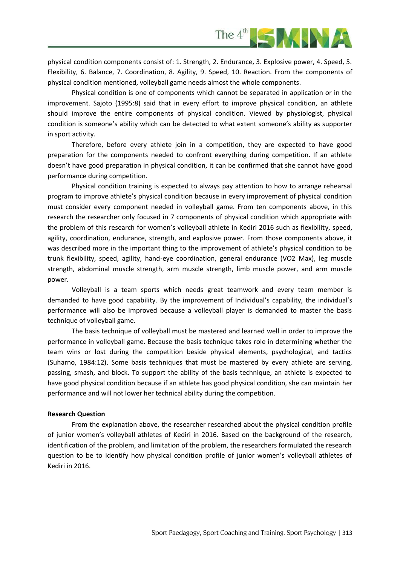

physical condition components consist of: 1. Strength, 2. Endurance, 3. Explosive power, 4. Speed, 5. Flexibility, 6. Balance, 7. Coordination, 8. Agility, 9. Speed, 10. Reaction. From the components of physical condition mentioned, volleyball game needs almost the whole components.

Physical condition is one of components which cannot be separated in application or in the improvement. Sajoto (1995:8) said that in every effort to improve physical condition, an athlete should improve the entire components of physical condition. Viewed by physiologist, physical condition is someone's ability which can be detected to what extent someone's ability as supporter in sport activity.

Therefore, before every athlete join in a competition, they are expected to have good preparation for the components needed to confront everything during competition. If an athlete doesn't have good preparation in physical condition, it can be confirmed that she cannot have good performance during competition.

Physical condition training is expected to always pay attention to how to arrange rehearsal program to improve athlete's physical condition because in every improvement of physical condition must consider every component needed in volleyball game. From ten components above, in this research the researcher only focused in 7 components of physical condition which appropriate with the problem of this research for women's volleyball athlete in Kediri 2016 such as flexibility, speed, agility, coordination, endurance, strength, and explosive power. From those components above, it was described more in the important thing to the improvement of athlete's physical condition to be trunk flexibility, speed, agility, hand-eye coordination, general endurance (VO2 Max), leg muscle strength, abdominal muscle strength, arm muscle strength, limb muscle power, and arm muscle power.

Volleyball is a team sports which needs great teamwork and every team member is demanded to have good capability. By the improvement of Individual's capability, the individual's performance will also be improved because a volleyball player is demanded to master the basis technique of volleyball game.

The basis technique of volleyball must be mastered and learned well in order to improve the performance in volleyball game. Because the basis technique takes role in determining whether the team wins or lost during the competition beside physical elements, psychological, and tactics (Suharno, 1984:12). Some basis techniques that must be mastered by every athlete are serving, passing, smash, and block. To support the ability of the basis technique, an athlete is expected to have good physical condition because if an athlete has good physical condition, she can maintain her performance and will not lower her technical ability during the competition.

#### **Research Question**

From the explanation above, the researcher researched about the physical condition profile of junior women's volleyball athletes of Kediri in 2016. Based on the background of the research, identification of the problem, and limitation of the problem, the researchers formulated the research question to be to identify how physical condition profile of junior women's volleyball athletes of Kediri in 2016.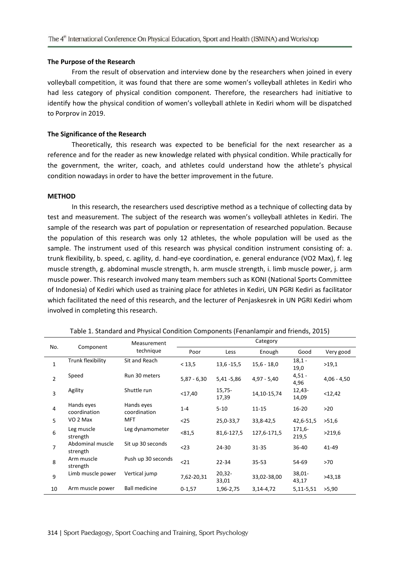#### **The Purpose of the Research**

From the result of observation and interview done by the researchers when joined in every volleyball competition, it was found that there are some women's volleyball athletes in Kediri who had less category of physical condition component. Therefore, the researchers had initiative to identify how the physical condition of women's volleyball athlete in Kediri whom will be dispatched to Porprov in 2019.

#### **The Significance of the Research**

Theoretically, this research was expected to be beneficial for the next researcher as a reference and for the reader as new knowledge related with physical condition. While practically for the government, the writer, coach, and athletes could understand how the athlete's physical condition nowadays in order to have the better improvement in the future.

#### **METHOD**

In this research, the researchers used descriptive method as a technique of collecting data by test and measurement. The subject of the research was women's volleyball athletes in Kediri. The sample of the research was part of population or representation of researched population. Because the population of this research was only 12 athletes, the whole population will be used as the sample. The instrument used of this research was physical condition instrument consisting of: a. trunk flexibility, b. speed, c. agility, d. hand-eye coordination, e. general endurance (VO2 Max), f. leg muscle strength, g. abdominal muscle strength, h. arm muscle strength, i. limb muscle power, j. arm muscle power. This research involved many team members such as KONI (National Sports Committee of Indonesia) of Kediri which used as training place for athletes in Kediri, UN PGRI Kediri as facilitator which facilitated the need of this research, and the lecturer of Penjaskesrek in UN PGRI Kediri whom involved in completing this research.

| No.            | Component                    | Measurement<br>technique   | Category      |                   |                 |                    |               |
|----------------|------------------------------|----------------------------|---------------|-------------------|-----------------|--------------------|---------------|
|                |                              |                            | Poor          | Less              | Enough          | Good               | Very good     |
| $\mathbf{1}$   | Trunk flexibility            | Sit and Reach              | < 13, 5       | $13,6 - 15,5$     | $15,6 - 18,0$   | $18,1 -$<br>19,0   | >19,1         |
| $\overline{2}$ | Speed                        | Run 30 meters              | $5,87 - 6,30$ | 5,41 - 5,86       | $4,97 - 5,40$   | $4,51 -$<br>4,96   | $4,06 - 4,50$ |
| 3              | Agility                      | Shuttle run                | $<$ 17,40     | $15,75-$<br>17,39 | 14, 10 - 15, 74 | 12,43-<br>14,09    | <12,42        |
| 4              | Hands eyes<br>coordination   | Hands eyes<br>coordination | $1 - 4$       | $5 - 10$          | $11 - 15$       | $16 - 20$          | >20           |
| 5              | VO 2 Max                     | MFT                        | $25$          | 25,0-33,7         | 33,8-42,5       | 42,6-51,5          | >51,6         |
| 6              | Leg muscle<br>strength       | Leg dynamometer            | < 81, 5       | 81,6-127,5        | 127,6-171,5     | 171,6-<br>219,5    | >219,6        |
| $\overline{7}$ | Abdominal muscle<br>strength | Sit up 30 seconds          | $<$ 23        | 24-30             | $31 - 35$       | 36-40              | 41-49         |
| 8              | Arm muscle<br>strength       | Push up 30 seconds         | $21$          | $22 - 34$         | $35 - 53$       | 54-69              | >70           |
| 9              | Limb muscle power            | Vertical jump              | 7,62-20,31    | $20,32-$<br>33,01 | 33,02-38,00     | $38,01 -$<br>43,17 | >43,18        |
| 10             | Arm muscle power             | <b>Ball medicine</b>       | $0 - 1,57$    | 1,96-2,75         | $3,14-4,72$     | 5,11-5,51          | >5,90         |

Table 1. Standard and Physical Condition Components (Fenanlampir and friends, 2015)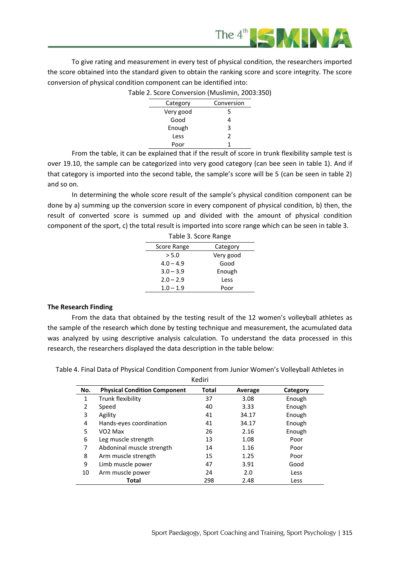

To give rating and measurement in every test of physical condition, the researchers imported the score obtained into the standard given to obtain the ranking score and score integrity. The score conversion of physical condition component can be identified into:

Table 2. Score Conversion (Muslimin, 2003:350)

| Category  | Conversion    |
|-----------|---------------|
| Very good | 5             |
| Good      |               |
| Enough    | 3             |
| Less      | $\mathcal{P}$ |
| Poor      |               |

From the table, it can be explained that if the result of score in trunk flexibility sample test is over 19.10, the sample can be categorized into very good category (can bee seen in table 1). And if that category is imported into the second table, the sample's score will be 5 (can be seen in table 2) and so on.

In determining the whole score result of the sample's physical condition component can be done by a) summing up the conversion score in every component of physical condition, b) then, the result of converted score is summed up and divided with the amount of physical condition component of the sport, c) the total result is imported into score range which can be seen in table 3.  $T<sub>1</sub>$  3. Score

|             | Table 3. Score Range |           |  |  |  |
|-------------|----------------------|-----------|--|--|--|
| Score Range |                      | Category  |  |  |  |
|             | > 5.0                | Very good |  |  |  |
|             | $4.0 - 4.9$          | Good      |  |  |  |
|             | $3.0 - 3.9$          | Enough    |  |  |  |
|             | $2.0 - 2.9$          | Less      |  |  |  |
|             | $1.0 - 1.9$          | Poor      |  |  |  |

## **The Research Finding**

From the data that obtained by the testing result of the 12 women's volleyball athletes as the sample of the research which done by testing technique and measurement, the acumulated data was analyzed by using descriptive analysis calculation. To understand the data processed in this research, the researchers displayed the data description in the table below:

Kediri **No. Physical Condition Component Total Average Category** 1 Trunk flexibility 137 3.08 Enough 2 Speed 2 and 40 3.33 Enough 3 Agility 41 34.17 Enough 4 Hands-eyes coordination 41 34.17 Enough 5 VO2 Max 26 2.16 Enough 6 Leg muscle strength 13 1.08 Poor 7 Abdoninal muscle strength 14 1.16 Poor 8 Arm muscle strength 15 1.25 Poor 9 Limb muscle power 47 3.91 Good 10 Arm muscle power 24 2.0 Less **Total** 298 2.48 Less

Table 4. Final Data of Physical Condition Component from Junior Women's Volleyball Athletes in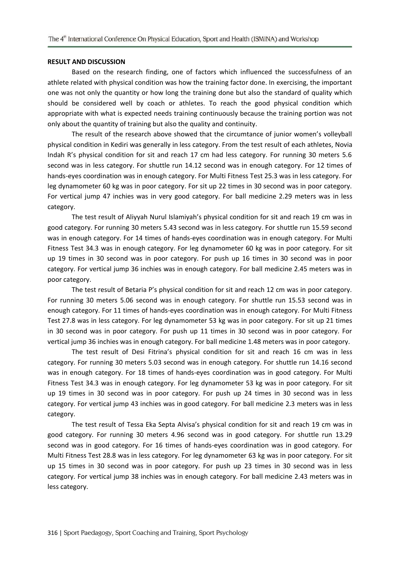#### **RESULT AND DISCUSSION**

Based on the research finding, one of factors which influenced the successfulness of an athlete related with physical condition was how the training factor done. In exercising, the important one was not only the quantity or how long the training done but also the standard of quality which should be considered well by coach or athletes. To reach the good physical condition which appropriate with what is expected needs training continuously because the training portion was not only about the quantity of training but also the quality and continuity.

The result of the research above showed that the circumtance of junior women's volleyball physical condition in Kediri was generally in less category. From the test result of each athletes, Novia Indah R's physical condition for sit and reach 17 cm had less category. For running 30 meters 5.6 second was in less category. For shuttle run 14.12 second was in enough category. For 12 times of hands-eyes coordination was in enough category. For Multi Fitness Test 25.3 was in less category. For leg dynamometer 60 kg was in poor category. For sit up 22 times in 30 second was in poor category. For vertical jump 47 inchies was in very good category. For ball medicine 2.29 meters was in less category.

The test result of Aliyyah Nurul Islamiyah's physical condition for sit and reach 19 cm was in good category. For running 30 meters 5.43 second was in less category. For shuttle run 15.59 second was in enough category. For 14 times of hands-eyes coordination was in enough category. For Multi Fitness Test 34.3 was in enough category. For leg dynamometer 60 kg was in poor category. For sit up 19 times in 30 second was in poor category. For push up 16 times in 30 second was in poor category. For vertical jump 36 inchies was in enough category. For ball medicine 2.45 meters was in poor category.

The test result of Betaria P's physical condition for sit and reach 12 cm was in poor category. For running 30 meters 5.06 second was in enough category. For shuttle run 15.53 second was in enough category. For 11 times of hands-eyes coordination was in enough category. For Multi Fitness Test 27.8 was in less category. For leg dynamometer 53 kg was in poor category. For sit up 21 times in 30 second was in poor category. For push up 11 times in 30 second was in poor category. For vertical jump 36 inchies was in enough category. For ball medicine 1.48 meters was in poor category.

The test result of Desi Fitrina's physical condition for sit and reach 16 cm was in less category. For running 30 meters 5.03 second was in enough category. For shuttle run 14.16 second was in enough category. For 18 times of hands-eyes coordination was in good category. For Multi Fitness Test 34.3 was in enough category. For leg dynamometer 53 kg was in poor category. For sit up 19 times in 30 second was in poor category. For push up 24 times in 30 second was in less category. For vertical jump 43 inchies was in good category. For ball medicine 2.3 meters was in less category.

The test result of Tessa Eka Septa Alvisa's physical condition for sit and reach 19 cm was in good category. For running 30 meters 4.96 second was in good category. For shuttle run 13.29 second was in good category. For 16 times of hands-eyes coordination was in good category. For Multi Fitness Test 28.8 was in less category. For leg dynamometer 63 kg was in poor category. For sit up 15 times in 30 second was in poor category. For push up 23 times in 30 second was in less category. For vertical jump 38 inchies was in enough category. For ball medicine 2.43 meters was in less category.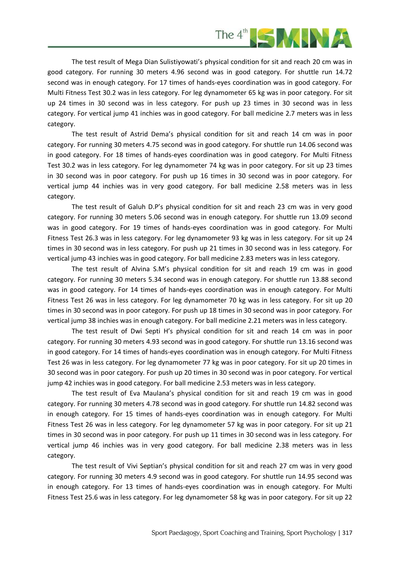

The test result of Mega Dian Sulistiyowati's physical condition for sit and reach 20 cm was in good category. For running 30 meters 4.96 second was in good category. For shuttle run 14.72 second was in enough category. For 17 times of hands-eyes coordination was in good category. For Multi Fitness Test 30.2 was in less category. For leg dynamometer 65 kg was in poor category. For sit up 24 times in 30 second was in less category. For push up 23 times in 30 second was in less category. For vertical jump 41 inchies was in good category. For ball medicine 2.7 meters was in less category.

The test result of Astrid Dema's physical condition for sit and reach 14 cm was in poor category. For running 30 meters 4.75 second was in good category. For shuttle run 14.06 second was in good category. For 18 times of hands-eyes coordination was in good category. For Multi Fitness Test 30.2 was in less category. For leg dynamometer 74 kg was in poor category. For sit up 23 times in 30 second was in poor category. For push up 16 times in 30 second was in poor category. For vertical jump 44 inchies was in very good category. For ball medicine 2.58 meters was in less category.

The test result of Galuh D.P's physical condition for sit and reach 23 cm was in very good category. For running 30 meters 5.06 second was in enough category. For shuttle run 13.09 second was in good category. For 19 times of hands-eyes coordination was in good category. For Multi Fitness Test 26.3 was in less category. For leg dynamometer 93 kg was in less category. For sit up 24 times in 30 second was in less category. For push up 21 times in 30 second was in less category. For vertical jump 43 inchies was in good category. For ball medicine 2.83 meters was in less category.

The test result of Alvina S.M's physical condition for sit and reach 19 cm was in good category. For running 30 meters 5.34 second was in enough category. For shuttle run 13.88 second was in good category. For 14 times of hands-eyes coordination was in enough category. For Multi Fitness Test 26 was in less category. For leg dynamometer 70 kg was in less category. For sit up 20 times in 30 second was in poor category. For push up 18 times in 30 second was in poor category. For vertical jump 38 inchies was in enough category. For ball medicine 2.21 meters was in less category.

The test result of Dwi Septi H's physical condition for sit and reach 14 cm was in poor category. For running 30 meters 4.93 second was in good category. For shuttle run 13.16 second was in good category. For 14 times of hands-eyes coordination was in enough category. For Multi Fitness Test 26 was in less category. For leg dynamometer 77 kg was in poor category. For sit up 20 times in 30 second was in poor category. For push up 20 times in 30 second was in poor category. For vertical jump 42 inchies was in good category. For ball medicine 2.53 meters was in less category.

The test result of Eva Maulana's physical condition for sit and reach 19 cm was in good category. For running 30 meters 4.78 second was in good category. For shuttle run 14.82 second was in enough category. For 15 times of hands-eyes coordination was in enough category. For Multi Fitness Test 26 was in less category. For leg dynamometer 57 kg was in poor category. For sit up 21 times in 30 second was in poor category. For push up 11 times in 30 second was in less category. For vertical jump 46 inchies was in very good category. For ball medicine 2.38 meters was in less category.

The test result of Vivi Septian's physical condition for sit and reach 27 cm was in very good category. For running 30 meters 4.9 second was in good category. For shuttle run 14.95 second was in enough category. For 13 times of hands-eyes coordination was in enough category. For Multi Fitness Test 25.6 was in less category. For leg dynamometer 58 kg was in poor category. For sit up 22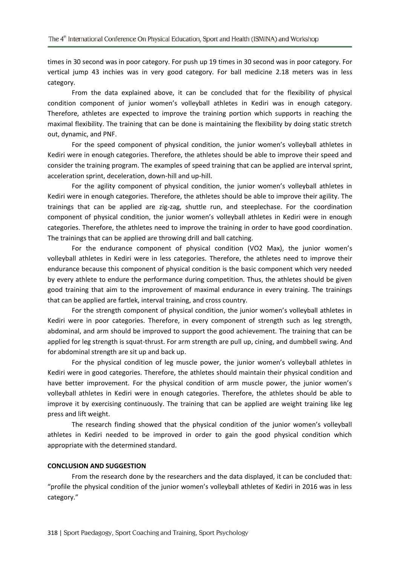times in 30 second was in poor category. For push up 19 times in 30 second was in poor category. For vertical jump 43 inchies was in very good category. For ball medicine 2.18 meters was in less category.

From the data explained above, it can be concluded that for the flexibility of physical condition component of junior women's volleyball athletes in Kediri was in enough category. Therefore, athletes are expected to improve the training portion which supports in reaching the maximal flexibility. The training that can be done is maintaining the flexibility by doing static stretch out, dynamic, and PNF.

For the speed component of physical condition, the junior women's volleyball athletes in Kediri were in enough categories. Therefore, the athletes should be able to improve their speed and consider the training program. The examples of speed training that can be applied are interval sprint, acceleration sprint, deceleration, down-hill and up-hill.

For the agility component of physical condition, the junior women's volleyball athletes in Kediri were in enough categories. Therefore, the athletes should be able to improve their agility. The trainings that can be applied are zig-zag, shuttle run, and steeplechase. For the coordination component of physical condition, the junior women's volleyball athletes in Kediri were in enough categories. Therefore, the athletes need to improve the training in order to have good coordination. The trainings that can be applied are throwing drill and ball catching.

For the endurance component of physical condition (VO2 Max), the junior women's volleyball athletes in Kediri were in less categories. Therefore, the athletes need to improve their endurance because this component of physical condition is the basic component which very needed by every athlete to endure the performance during competition. Thus, the athletes should be given good training that aim to the improvement of maximal endurance in every training. The trainings that can be applied are fartlek, interval training, and cross country.

For the strength component of physical condition, the junior women's volleyball athletes in Kediri were in poor categories. Therefore, in every component of strength such as leg strength, abdominal, and arm should be improved to support the good achievement. The training that can be applied for leg strength is squat-thrust. For arm strength are pull up, cining, and dumbbell swing. And for abdominal strength are sit up and back up.

For the physical condition of leg muscle power, the junior women's volleyball athletes in Kediri were in good categories. Therefore, the athletes should maintain their physical condition and have better improvement. For the physical condition of arm muscle power, the junior women's volleyball athletes in Kediri were in enough categories. Therefore, the athletes should be able to improve it by exercising continuously. The training that can be applied are weight training like leg press and lift weight.

The research finding showed that the physical condition of the junior women's volleyball athletes in Kediri needed to be improved in order to gain the good physical condition which appropriate with the determined standard.

## **CONCLUSION AND SUGGESTION**

From the research done by the researchers and the data displayed, it can be concluded that: "profile the physical condition of the junior women's volleyball athletes of Kediri in 2016 was in less category."